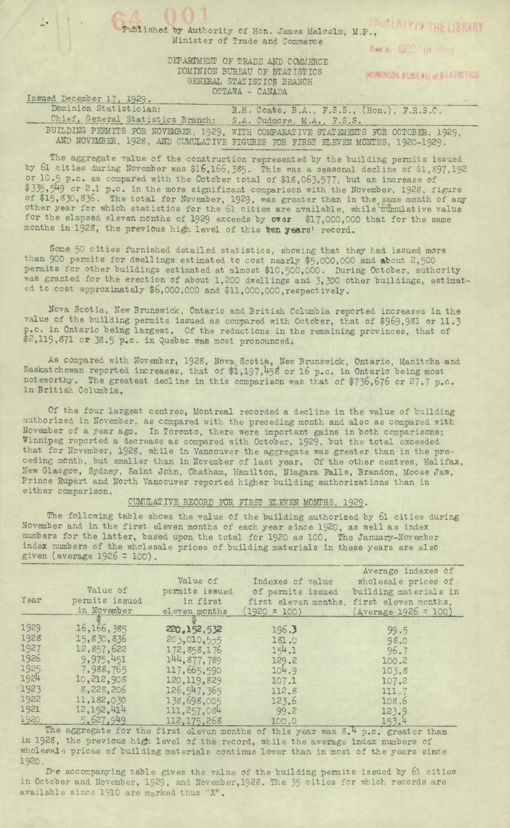Published by Authority of Hon. James Malcolm, M.P., William M. BRANCH Minister of Trade and Commerce

> DEPARTMENT OF TRADE AND COMMERCE DOMINION BUREAU OF STATISTICS GENERAL STATISTICS BRANCH OTTAWA - CANADA

**CONNION SUREAU & STATISTICS** 

health DEC to sover

Issued December 17, 1929.

R.H. Coats, B.A., F.S.S., (Hon.), F.R.S.C. Chief, General Statistics Branch: S.A. Cudmore, M.A., F.S.S. BUILDING PERMITS FOR NOVEMBER, 1929, WITH COMPARATIVE STATEMENTS FOR OCTOBER, 1929, AND NOVEMBER, 1928, AND CUMULATIVE FIGURES FOR FIRST ELEVEN MONTHS, 1920-1929.

The aggregate value of the construction represented by the building permits issued by 61 cities during November was  $$16,166,385$ . This was a seasonal decline of  $$1,897,192$ or 10.5 p.c. as compared with the October total of *\$18,063,577,* but an increase of \$335,549 or 2.1 p.c. in the more significant comparison with the November, 1928, figure of \$15,830,836. The total for November, 1929, was greater than in the same month of any<br>other year for which statistics for the 61 cities are available, while cumulative value for the elapsed eleven months of 1929 exceeds by **over** \$17,000,000 that for the same months **in** 1928, the previous high level of this ben **jears'** record.

Some 50 cities furnished detailed statistics, showing that they had issued more than 900 permits for dwellings estimated to cost nearly \$5,000,000 and &bout 2,500 permits for other buildings estimated at almost \$10,500,000. During October, authority as granted for the erection of about 1,200 dwellings and 3,300 other buildings, estimated to cost approximately \$6,000,000 and \$11,000,000, respectively.

Nova Scotia, New Brunswick, Ontario and British Columbia reported increases in the value of the building permits issued as compared with October, that of \$969,981 or 11.3 p.c. in Ontario being largest. Of the reductions in the remaining provinces, that of \$2,119,871 or 38.5 p.c. in Quebec was most pronounced.

As compared with November, 1928, Nova Scotia, New Brunswick, Ontario, Manitoba and Saskatchewan reported increases, that of \$1,197,458 or 16 p.c. in Ontario being most noteworthy. The greatest decline in this comparison was that of \$736,676 or 27.7 P.c. in British Columbia.

Of the four largest centres, Montreal recorded a decline in the value of building authorized in November, as compared with the preceding month and also as compared with November of a year ago. In Toronto, there were important gains in both ccmparisons; Winnipeg reported a decrease as compared with October, 1929, but the total exceeded that for November, 1928, while in Vancouver the aggregate was greater than in the preceding month, but smaller than in November of last year. Of the other centres, Halifax, New Glasgow, Sydney, Saint John, Ohatham, Hamilton, Niagara **Falls,** Brandon, Moose Jaw, Prince Rupert and North Vancouver reported higher building authorizations than in either comparison.

## CUMDLATIVE RECORO FOR FIRST ELEVEN MONTHS, 1929.

The following table shows the value of the building authorized by 61 cities during November and in the first eleven months of each year since 1920, as well as index numbers for the latter, based upon the total for 1920 as 100. The January-November index numbers of the wholesale prices of building materials in these years are also **given** (average 1926 = 100).

| Year | Value of<br>permits issued<br>in November | Value of<br>permits issued<br>in first<br>eleven months | Indexes of value<br>of permits issued<br>first eleven months.<br>$(1920 = 100)$ | Average indexes of<br>wholesale prices of<br>building materials in<br>first eleven months.<br>$(Average 1926 = 100)$ |
|------|-------------------------------------------|---------------------------------------------------------|---------------------------------------------------------------------------------|----------------------------------------------------------------------------------------------------------------------|
|      |                                           |                                                         |                                                                                 |                                                                                                                      |
| 1929 | 16, 166, 385                              | 220, 152, 532                                           | 196.3                                                                           | 99.5                                                                                                                 |
| 1928 | 15,830,836                                | 20,010,555                                              | 181.0                                                                           | 98.0                                                                                                                 |
| 1927 | 12,857,622                                | 172, 858, 176                                           | 154.1                                                                           | 96.7                                                                                                                 |
| 1926 | 9,975,451                                 | 144, 877, 789                                           | 129.2                                                                           | 100.2                                                                                                                |
| 1925 | 7,988,765                                 | 117,665,590                                             | 104.9                                                                           | 103.8                                                                                                                |
| 1924 | 10, 212, 908                              | 120, 119, 829                                           | 107.1                                                                           | 107.2                                                                                                                |
| 1923 | 8,228,206                                 | 126, 547, 365                                           | 112.8                                                                           | 111.7                                                                                                                |
| 1922 | 11,182.030                                | 138,698,005                                             | 123.6                                                                           | 108.6                                                                                                                |
| 1921 | 12, 192, 414                              | 111, 257, 084                                           | 99.2                                                                            | 123.9                                                                                                                |
| 1920 | 5,627,949                                 | 112, 175, 268                                           | 100.0                                                                           | 153.4                                                                                                                |

The aggregate for the first eleven months of this year was  $8.4$  p.c. greater than in 1928, the previous high level of the record, while the average index numbers of wholesale prices of building materials continue lower than in most of the years since <sup>1</sup> 920.

The accompanying table gives the value of the building permits issued by 61 cities in October and November, 1929, and November,1928. The 35 cities for which records are available since 1910 are marked thus " $X$ ".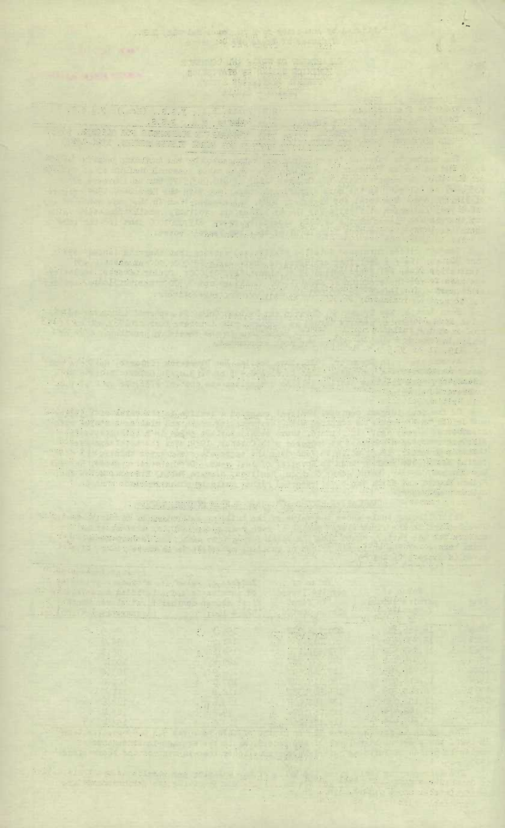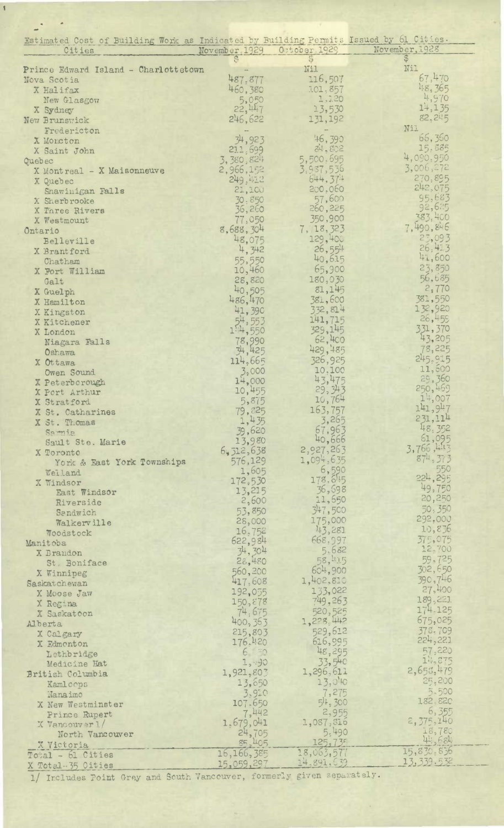| Estimated Cost of Building Work as Indicated by Building Permits Issued by 61 Cities. |                                |                       |                      |
|---------------------------------------------------------------------------------------|--------------------------------|-----------------------|----------------------|
| Cities                                                                                | November, 1929<br>$\mathbb{S}$ | October.1929<br>S     | November, 1928<br>\$ |
| Prince Edward Island - Charlottetown                                                  |                                | Nil                   | Nil                  |
| Nova Scotia                                                                           | 487.877                        | 116,507               | 67,470               |
| X Halifax                                                                             | 460,380                        | .01,857               | 48, 365              |
| New Glasgow                                                                           | 5,050                          | 1.120                 | 4,970                |
| X Sydney                                                                              | 22,447                         | 13,530                | 14,135<br>82,245     |
| New Brunswick                                                                         | 246,622                        | 131,192               | Nil                  |
| Fredericton<br>X Moncton                                                              | 34,923                         | 46,390                | 66,360               |
| X Saint John                                                                          | 211.699                        | 24,802                | 15.885               |
| Quebec                                                                                | 3,380,824                      | 5,500.695             | 4,090,950            |
| X Montreal - X Maisonneuve                                                            | 2,966,152                      | 3.937,536             | 3,006,272            |
| X Quebec                                                                              | 249,412                        | 644, 374              | 270,895              |
| Shawinigan Falls                                                                      | 21,100                         | 200,060               | 242,075              |
| X Sherbrooke                                                                          | 30.850                         | 57,600                | 95,683<br>92,625     |
| X Three Rivers                                                                        | 36,260                         | 260, 225<br>350,900   | 383,400              |
| X Westmount                                                                           | 77,050<br>8,688,304            | 7, 18, 323            | 7,490,846            |
| Ontario<br>Belleville                                                                 | 48,075                         | 129,400               | 23,093               |
| X Brantford                                                                           | 4.342                          | 26,554                | 26,413               |
| Chatham                                                                               | 55,550                         | 40,615                | 41,600               |
| X Fort William                                                                        | 10,460                         | 65,900                | 23,850               |
| Galt                                                                                  | 28,820                         | 180,030               | 56.685               |
| X Guelph                                                                              | 40,505                         | 81,145                | 2,770                |
| X Hamilton                                                                            | 486,470                        | 381,600               | 381,550              |
| X Kingston                                                                            | 41,39C                         | 332,814               | 132,920<br>26,459    |
| X Kitchener                                                                           | 54, 553                        | 141,715               | 331,370              |
| X London                                                                              | 114,550                        | 329,145<br>62,400     | 43,205               |
| Niagara Falls                                                                         | 78,990<br>34,425               | 429, 485              | 78,225               |
| Oshawa<br>X Ottawa                                                                    | 114,665                        | 326,925               | 245.915              |
| Owen Sound                                                                            | 3,000                          | 10,100                | 11,500               |
| X Peterborough                                                                        | 14,000                         | 43,475                | 29,360               |
| X Port Arthur                                                                         | 10,455                         | 29,343                | 250,469              |
| X Stratford                                                                           | 5,875                          | 10,764                | 14,007               |
| X St. Catharines                                                                      | 79,825                         | 163,757               | 141,947<br>231, 114  |
| X St. Thomas                                                                          | 1,435                          | 3,265<br>67,963       | 48.352               |
| Samia                                                                                 | 39,620<br>13,980               | 40,666                | 61,095               |
| Sault Ste. Marie<br>X Toronto                                                         | 64, 512, 638                   | 2,927,263             | 3,766,4113           |
| York & East York Townships                                                            | 576,129                        | 1,094,635             | $8711$ , 373         |
| Welland                                                                               | 1,605                          | 6,590                 | 550                  |
| X Windsor                                                                             | 172,530                        | 178, 645              | 224, 295             |
| East Windsor                                                                          | 13,215                         | 36,598                | 49,750               |
| Riverside                                                                             | 2,600                          | 11,650                | 20,250               |
| Sandwich                                                                              | 53,850                         | 347,500               | 50, 350<br>292,000   |
| Walkerville                                                                           | 28,000                         | 175,000<br>43,281     | 10,876               |
| Woodstock                                                                             | 16,752<br>622,984              | 668.997               | 375,075              |
| Manitoba<br>X Brandon                                                                 | 34, 304                        | 5,632                 | 12,700               |
| St. Boniface                                                                          | 28,480                         | 58, 415               | 59,725               |
| X Winnipeg                                                                            | 560,200                        | 604,900               | 302,650              |
| Saskatchewan                                                                          | 417,608                        | 1,402.810             | 390,746              |
| X Moose Jaw                                                                           | 192,055                        | 133,022               | 27,400               |
| X Regina                                                                              | 150, 278                       | 749, 263              | 189,221              |
| X Saskatoon                                                                           | 74,675                         | 520,525               | 174.125              |
| Alberta                                                                               | 400, 353                       | 1,228, 442            | 675,025<br>378.709   |
| X Calgary                                                                             | 215,803<br>176,420             | 529,612<br>616,995    | 224,221              |
| X Edmonton                                                                            | 6.70                           | 48,295                | 57,220               |
| Lethbridge<br>Medicine Hat                                                            | $1, -30$                       | 33,540                | 14.575               |
| British Columbia                                                                      | 1,921,803                      | 1,296,611             | 2,655,479            |
| Kamloops                                                                              | 13,650                         | $13,0'$ Ю             | 25,200               |
| Nanaimo                                                                               | 3.910                          | 7,275                 | 5,500                |
| X New Westminster                                                                     | 107.650                        | 54,300                | 182,820              |
| Prince Rupert                                                                         | 7,442                          | 2,955                 | 6,355                |
| $X$ Vancouver $1/$                                                                    | 1,679,041                      | 1,087,316             | 2,375,140            |
| North Vancouver                                                                       | 24,705                         | 5,490                 | 18,780<br>41; 684;   |
| X Victoria                                                                            | 85, 105<br>16,166,385          | 125,735<br>18,063,577 | 15,830,856           |
| $T$ otal - 61 Cities<br>Y Matal ZE Cities                                             | 15.059.297                     | 14.891.539            | 13, 339. 532         |

 $\mathbb{I}$ 

1/ Includes Point Grey and Scuth Vancouver, formerly given separately.